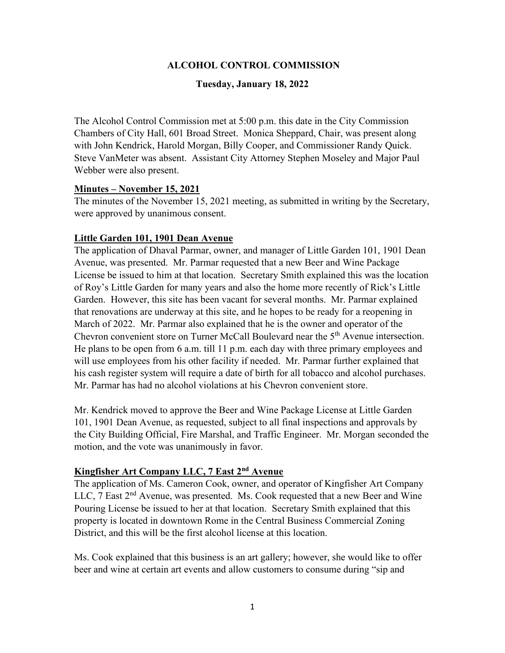## **ALCOHOL CONTROL COMMISSION**

#### **Tuesday, January 18, 2022**

The Alcohol Control Commission met at 5:00 p.m. this date in the City Commission Chambers of City Hall, 601 Broad Street. Monica Sheppard, Chair, was present along with John Kendrick, Harold Morgan, Billy Cooper, and Commissioner Randy Quick. Steve VanMeter was absent. Assistant City Attorney Stephen Moseley and Major Paul Webber were also present.

#### **Minutes – November 15, 2021**

The minutes of the November 15, 2021 meeting, as submitted in writing by the Secretary, were approved by unanimous consent.

## **Little Garden 101, 1901 Dean Avenue**

The application of Dhaval Parmar, owner, and manager of Little Garden 101, 1901 Dean Avenue, was presented. Mr. Parmar requested that a new Beer and Wine Package License be issued to him at that location. Secretary Smith explained this was the location of Roy's Little Garden for many years and also the home more recently of Rick's Little Garden. However, this site has been vacant for several months. Mr. Parmar explained that renovations are underway at this site, and he hopes to be ready for a reopening in March of 2022. Mr. Parmar also explained that he is the owner and operator of the Chevron convenient store on Turner McCall Boulevard near the 5<sup>th</sup> Avenue intersection. He plans to be open from 6 a.m. till 11 p.m. each day with three primary employees and will use employees from his other facility if needed. Mr. Parmar further explained that his cash register system will require a date of birth for all tobacco and alcohol purchases. Mr. Parmar has had no alcohol violations at his Chevron convenient store.

Mr. Kendrick moved to approve the Beer and Wine Package License at Little Garden 101, 1901 Dean Avenue, as requested, subject to all final inspections and approvals by the City Building Official, Fire Marshal, and Traffic Engineer. Mr. Morgan seconded the motion, and the vote was unanimously in favor.

## **Kingfisher Art Company LLC, 7 East 2nd Avenue**

The application of Ms. Cameron Cook, owner, and operator of Kingfisher Art Company LLC,  $7$  East  $2<sup>nd</sup>$  Avenue, was presented. Ms. Cook requested that a new Beer and Wine Pouring License be issued to her at that location. Secretary Smith explained that this property is located in downtown Rome in the Central Business Commercial Zoning District, and this will be the first alcohol license at this location.

Ms. Cook explained that this business is an art gallery; however, she would like to offer beer and wine at certain art events and allow customers to consume during "sip and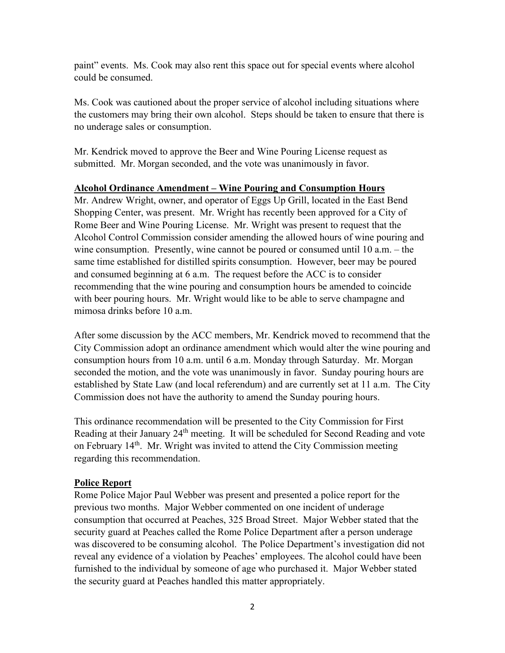paint" events. Ms. Cook may also rent this space out for special events where alcohol could be consumed.

Ms. Cook was cautioned about the proper service of alcohol including situations where the customers may bring their own alcohol. Steps should be taken to ensure that there is no underage sales or consumption.

Mr. Kendrick moved to approve the Beer and Wine Pouring License request as submitted. Mr. Morgan seconded, and the vote was unanimously in favor.

#### **Alcohol Ordinance Amendment – Wine Pouring and Consumption Hours**

Mr. Andrew Wright, owner, and operator of Eggs Up Grill, located in the East Bend Shopping Center, was present. Mr. Wright has recently been approved for a City of Rome Beer and Wine Pouring License. Mr. Wright was present to request that the Alcohol Control Commission consider amending the allowed hours of wine pouring and wine consumption. Presently, wine cannot be poured or consumed until 10 a.m. – the same time established for distilled spirits consumption. However, beer may be poured and consumed beginning at 6 a.m. The request before the ACC is to consider recommending that the wine pouring and consumption hours be amended to coincide with beer pouring hours. Mr. Wright would like to be able to serve champagne and mimosa drinks before 10 a.m.

After some discussion by the ACC members, Mr. Kendrick moved to recommend that the City Commission adopt an ordinance amendment which would alter the wine pouring and consumption hours from 10 a.m. until 6 a.m. Monday through Saturday. Mr. Morgan seconded the motion, and the vote was unanimously in favor. Sunday pouring hours are established by State Law (and local referendum) and are currently set at 11 a.m. The City Commission does not have the authority to amend the Sunday pouring hours.

This ordinance recommendation will be presented to the City Commission for First Reading at their January 24<sup>th</sup> meeting. It will be scheduled for Second Reading and vote on February 14<sup>th</sup>. Mr. Wright was invited to attend the City Commission meeting regarding this recommendation.

## **Police Report**

Rome Police Major Paul Webber was present and presented a police report for the previous two months. Major Webber commented on one incident of underage consumption that occurred at Peaches, 325 Broad Street. Major Webber stated that the security guard at Peaches called the Rome Police Department after a person underage was discovered to be consuming alcohol. The Police Department's investigation did not reveal any evidence of a violation by Peaches' employees. The alcohol could have been furnished to the individual by someone of age who purchased it. Major Webber stated the security guard at Peaches handled this matter appropriately.